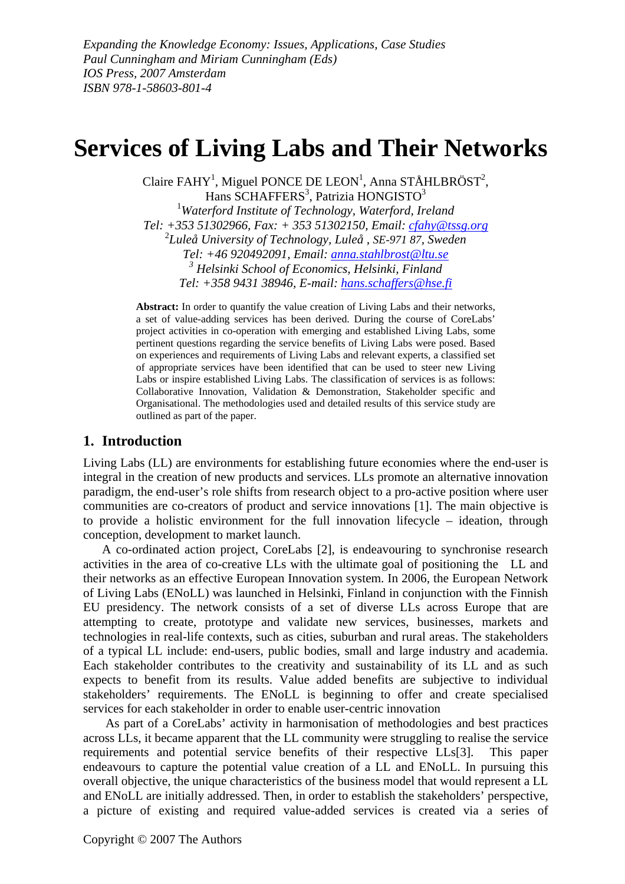*Expanding the Knowledge Economy: Issues, Applications, Case Studies Paul Cunningham and Miriam Cunningham (Eds) IOS Press, 2007 Amsterdam ISBN 978-1-58603-801-4*

# **Services of Living Labs and Their Networks**

Claire FAHY<sup>1</sup>, Miguel PONCE DE LEON<sup>1</sup>, Anna STÅHLBRÖST<sup>2</sup>, Hans  $\text{SCHAFFERS}^3$ , Patrizia HONGISTO<sup>3</sup> <sup>1</sup>Waterford Institute of Technology, Waterford, Ireland *Tel: +353 51302966, Fax: + 353 51302150, Email: [cfahy@tssg.org](mailto:cfahy@tssg.org)* <sup>2</sup> *Luleå University of Technology, Luleå , SE-971 87, Sweden Tel: +46 920492091, Email: [anna.stahlbrost@ltu.se](mailto:anna.stahlbrost@ltu.se) 3 Helsinki School of Economics, Helsinki, Finland Tel: +358 9431 38946, E-mail: [hans.schaffers@hse.fi](mailto:hans.schaffers@hse.fi)* 

**Abstract:** In order to quantify the value creation of Living Labs and their networks, a set of value-adding services has been derived. During the course of CoreLabs' project activities in co-operation with emerging and established Living Labs, some pertinent questions regarding the service benefits of Living Labs were posed. Based on experiences and requirements of Living Labs and relevant experts, a classified set of appropriate services have been identified that can be used to steer new Living Labs or inspire established Living Labs. The classification of services is as follows: Collaborative Innovation, Validation & Demonstration, Stakeholder specific and Organisational. The methodologies used and detailed results of this service study are outlined as part of the paper.

#### **1. Introduction**

Living Labs (LL) are environments for establishing future economies where the end-user is integral in the creation of new products and services. LLs promote an alternative innovation paradigm, the end-user's role shifts from research object to a pro-active position where user communities are co-creators of product and service innovations [1]. The main objective is to provide a holistic environment for the full innovation lifecycle – ideation, through conception, development to market launch.

A co-ordinated action project, CoreLabs [2], is endeavouring to synchronise research activities in the area of co-creative LLs with the ultimate goal of positioning the LL and their networks as an effective European Innovation system. In 2006, the European Network of Living Labs (ENoLL) was launched in Helsinki, Finland in conjunction with the Finnish EU presidency. The network consists of a set of diverse LLs across Europe that are attempting to create, prototype and validate new services, businesses, markets and technologies in real-life contexts, such as cities, suburban and rural areas. The stakeholders of a typical LL include: end-users, public bodies, small and large industry and academia. Each stakeholder contributes to the creativity and sustainability of its LL and as such expects to benefit from its results. Value added benefits are subjective to individual stakeholders' requirements. The ENoLL is beginning to offer and create specialised services for each stakeholder in order to enable user-centric innovation

As part of a CoreLabs' activity in harmonisation of methodologies and best practices across LLs, it became apparent that the LL community were struggling to realise the service requirements and potential service benefits of their respective LLs[3]. This paper endeavours to capture the potential value creation of a LL and ENoLL. In pursuing this overall objective, the unique characteristics of the business model that would represent a LL and ENoLL are initially addressed. Then, in order to establish the stakeholders' perspective, a picture of existing and required value-added services is created via a series of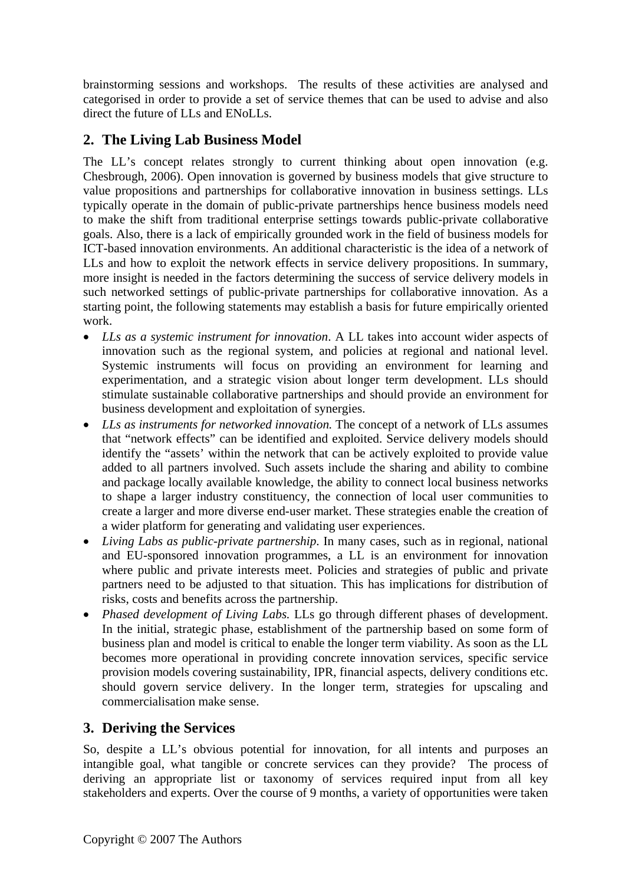brainstorming sessions and workshops. The results of these activities are analysed and categorised in order to provide a set of service themes that can be used to advise and also direct the future of LLs and ENoLLs.

# **2. The Living Lab Business Model**

The LL's concept relates strongly to current thinking about open innovation (e.g. Chesbrough, 2006). Open innovation is governed by business models that give structure to value propositions and partnerships for collaborative innovation in business settings. LLs typically operate in the domain of public-private partnerships hence business models need to make the shift from traditional enterprise settings towards public-private collaborative goals. Also, there is a lack of empirically grounded work in the field of business models for ICT-based innovation environments. An additional characteristic is the idea of a network of LLs and how to exploit the network effects in service delivery propositions. In summary, more insight is needed in the factors determining the success of service delivery models in such networked settings of public-private partnerships for collaborative innovation. As a starting point, the following statements may establish a basis for future empirically oriented work.

- *LLs as a systemic instrument for innovation*. A LL takes into account wider aspects of innovation such as the regional system, and policies at regional and national level. Systemic instruments will focus on providing an environment for learning and experimentation, and a strategic vision about longer term development. LLs should stimulate sustainable collaborative partnerships and should provide an environment for business development and exploitation of synergies.
- *LLs as instruments for networked innovation.* The concept of a network of LLs assumes that "network effects" can be identified and exploited. Service delivery models should identify the "assets' within the network that can be actively exploited to provide value added to all partners involved. Such assets include the sharing and ability to combine and package locally available knowledge, the ability to connect local business networks to shape a larger industry constituency, the connection of local user communities to create a larger and more diverse end-user market. These strategies enable the creation of a wider platform for generating and validating user experiences.
- *Living Labs as public-private partnership*. In many cases, such as in regional, national and EU-sponsored innovation programmes, a LL is an environment for innovation where public and private interests meet. Policies and strategies of public and private partners need to be adjusted to that situation. This has implications for distribution of risks, costs and benefits across the partnership.
- *Phased development of Living Labs.* LLs go through different phases of development. In the initial, strategic phase, establishment of the partnership based on some form of business plan and model is critical to enable the longer term viability. As soon as the LL becomes more operational in providing concrete innovation services, specific service provision models covering sustainability, IPR, financial aspects, delivery conditions etc. should govern service delivery. In the longer term, strategies for upscaling and commercialisation make sense.

# **3. Deriving the Services**

So, despite a LL's obvious potential for innovation, for all intents and purposes an intangible goal, what tangible or concrete services can they provide? The process of deriving an appropriate list or taxonomy of services required input from all key stakeholders and experts. Over the course of 9 months, a variety of opportunities were taken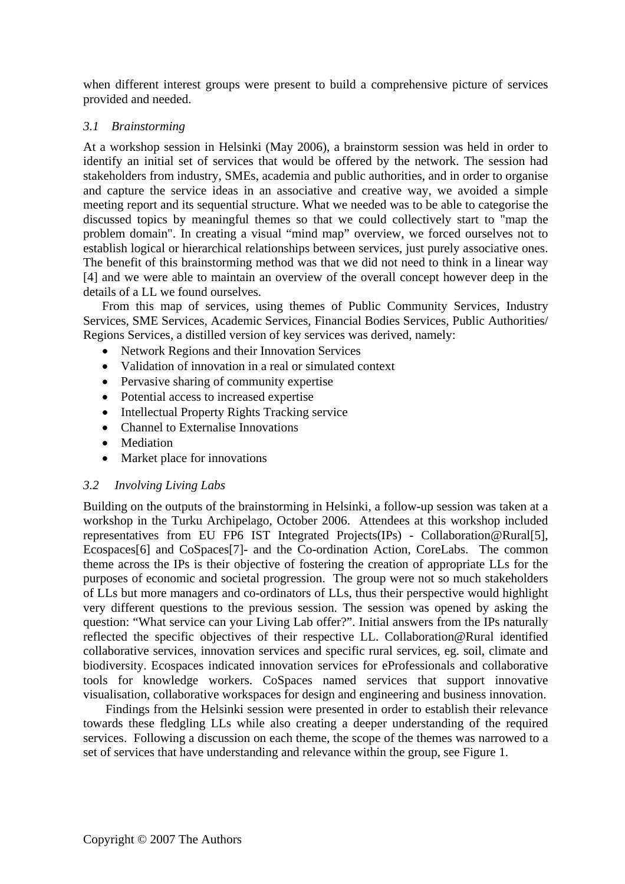when different interest groups were present to build a comprehensive picture of services provided and needed.

#### *3.1 Brainstorming*

At a workshop session in Helsinki (May 2006), a brainstorm session was held in order to identify an initial set of services that would be offered by the network. The session had stakeholders from industry, SMEs, academia and public authorities, and in order to organise and capture the service ideas in an associative and creative way, we avoided a simple meeting report and its sequential structure. What we needed was to be able to categorise the discussed topics by meaningful themes so that we could collectively start to "map the problem domain". In creating a visual "mind map" overview, we forced ourselves not to establish logical or hierarchical relationships between services, just purely associative ones. The benefit of this brainstorming method was that we did not need to think in a linear way [4] and we were able to maintain an overview of the overall concept however deep in the details of a LL we found ourselves.

From this map of services, using themes of Public Community Services, Industry Services, SME Services, Academic Services, Financial Bodies Services, Public Authorities/ Regions Services, a distilled version of key services was derived, namely:

- Network Regions and their Innovation Services
- Validation of innovation in a real or simulated context
- Pervasive sharing of community expertise
- Potential access to increased expertise
- Intellectual Property Rights Tracking service
- Channel to Externalise Innovations
- Mediation
- Market place for innovations

#### *3.2 Involving Living Labs*

Building on the outputs of the brainstorming in Helsinki, a follow-up session was taken at a workshop in the Turku Archipelago, October 2006. Attendees at this workshop included representatives from EU FP6 IST Integrated Projects(IPs) - Collaboration@Rural[5], Ecospaces[6] and CoSpaces[7]- and the Co-ordination Action, CoreLabs. The common theme across the IPs is their objective of fostering the creation of appropriate LLs for the purposes of economic and societal progression. The group were not so much stakeholders of LLs but more managers and co-ordinators of LLs, thus their perspective would highlight very different questions to the previous session. The session was opened by asking the question: "What service can your Living Lab offer?". Initial answers from the IPs naturally reflected the specific objectives of their respective LL. Collaboration@Rural identified collaborative services, innovation services and specific rural services, eg. soil, climate and biodiversity. Ecospaces indicated innovation services for eProfessionals and collaborative tools for knowledge workers. CoSpaces named services that support innovative visualisation, collaborative workspaces for design and engineering and business innovation.

Findings from the Helsinki session were presented in order to establish their relevance towards these fledgling LLs while also creating a deeper understanding of the required services. Following a discussion on each theme, the scope of the themes was narrowed to a set of services that have understanding and relevance within the group, see [Figure 1.](#page-3-0)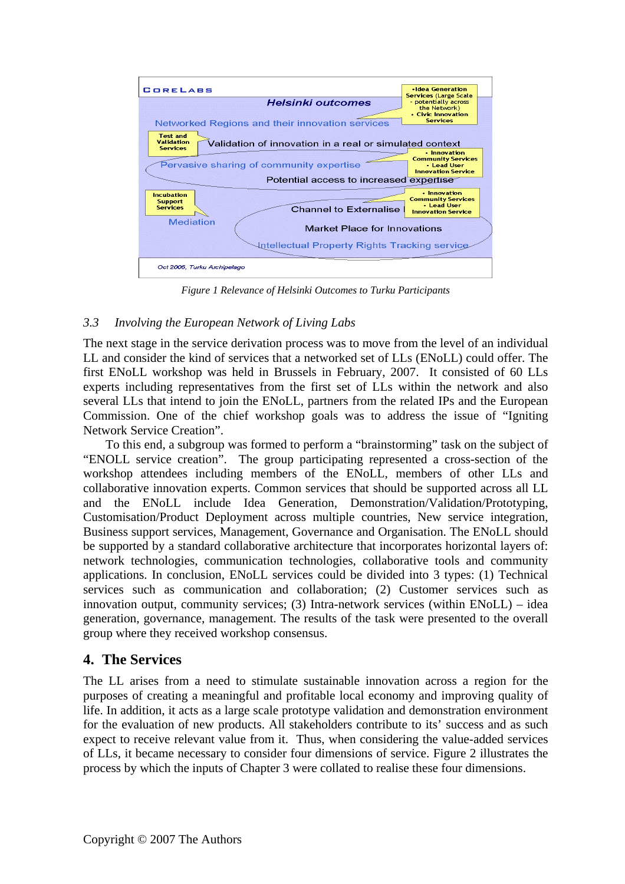<span id="page-3-0"></span>

*Figure 1 Relevance of Helsinki Outcomes to Turku Participants* 

## *3.3 Involving the European Network of Living Labs*

The next stage in the service derivation process was to move from the level of an individual LL and consider the kind of services that a networked set of LLs (ENoLL) could offer. The first ENoLL workshop was held in Brussels in February, 2007. It consisted of 60 LLs experts including representatives from the first set of LLs within the network and also several LLs that intend to join the ENoLL, partners from the related IPs and the European Commission. One of the chief workshop goals was to address the issue of "Igniting Network Service Creation".

To this end, a subgroup was formed to perform a "brainstorming" task on the subject of "ENOLL service creation". The group participating represented a cross-section of the workshop attendees including members of the ENoLL, members of other LLs and collaborative innovation experts. Common services that should be supported across all LL and the ENoLL include Idea Generation, Demonstration/Validation/Prototyping, Customisation/Product Deployment across multiple countries, New service integration, Business support services, Management, Governance and Organisation. The ENoLL should be supported by a standard collaborative architecture that incorporates horizontal layers of: network technologies, communication technologies, collaborative tools and community applications. In conclusion, ENoLL services could be divided into 3 types: (1) Technical services such as communication and collaboration; (2) Customer services such as innovation output, community services; (3) Intra-network services (within ENoLL) – idea generation, governance, management. The results of the task were presented to the overall group where they received workshop consensus.

## **4. The Services**

The LL arises from a need to stimulate sustainable innovation across a region for the purposes of creating a meaningful and profitable local economy and improving quality of life. In addition, it acts as a large scale prototype validation and demonstration environment for the evaluation of new products. All stakeholders contribute to its' success and as such expect to receive relevant value from it. Thus, when considering the value-added services of LLs, it became necessary to consider four dimensions of service. [Figure 2](#page-4-0) illustrates the process by which the inputs of Chapter 3 were collated to realise these four dimensions.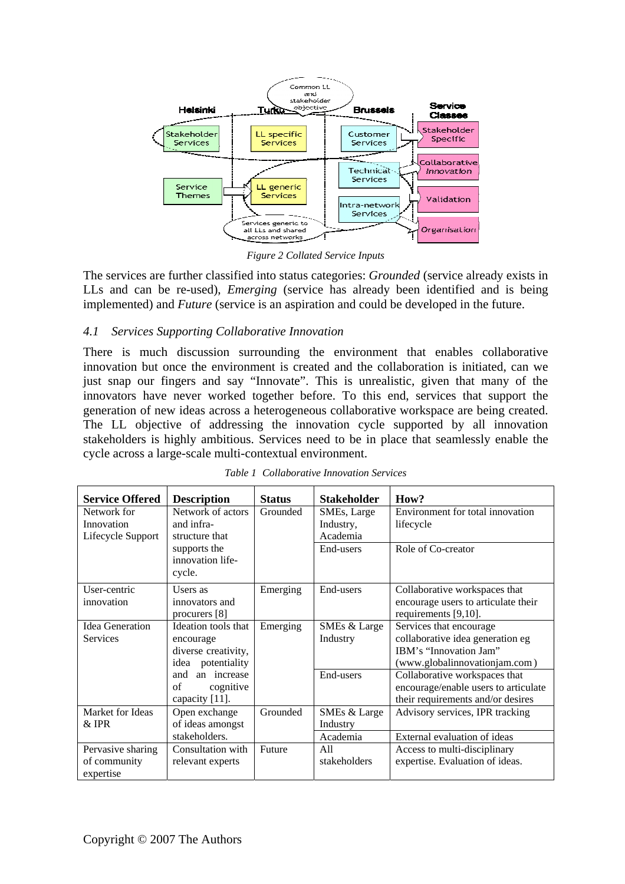<span id="page-4-0"></span>

*Figure 2 Collated Service Inputs* 

The services are further classified into status categories: *Grounded* (service already exists in LLs and can be re-used), *Emerging* (service has already been identified and is being implemented) and *Future* (service is an aspiration and could be developed in the future.

### *4.1 Services Supporting Collaborative Innovation*

There is much discussion surrounding the environment that enables collaborative innovation but once the environment is created and the collaboration is initiated, can we just snap our fingers and say "Innovate". This is unrealistic, given that many of the innovators have never worked together before. To this end, services that support the generation of new ideas across a heterogeneous collaborative workspace are being created. The LL objective of addressing the innovation cycle supported by all innovation stakeholders is highly ambitious. Services need to be in place that seamlessly enable the cycle across a large-scale multi-contextual environment.

| <b>Service Offered</b> | <b>Description</b>  | <b>Status</b> | <b>Stakeholder</b> | How?                                 |
|------------------------|---------------------|---------------|--------------------|--------------------------------------|
| Network for            | Network of actors   | Grounded      | SMEs, Large        | Environment for total innovation     |
| Innovation             | and infra-          |               | Industry,          | lifecycle                            |
| Lifecycle Support      | structure that      |               | Academia           |                                      |
|                        | supports the        |               | End-users          | Role of Co-creator                   |
|                        | innovation life-    |               |                    |                                      |
|                        | cycle.              |               |                    |                                      |
| User-centric           | Users as            | Emerging      | End-users          | Collaborative workspaces that        |
| innovation             | innovators and      |               |                    | encourage users to articulate their  |
|                        | procurers $[8]$     |               |                    | requirements [9,10].                 |
| Idea Generation        | Ideation tools that | Emerging      | SMEs & Large       | Services that encourage              |
| <b>Services</b>        | encourage           |               | Industry           | collaborative idea generation eg     |
|                        | diverse creativity, |               |                    | IBM's "Innovation Jam"               |
|                        | idea potentiality   |               |                    | (www.globalinnovationjam.com)        |
|                        | an increase<br>and  |               | End-users          | Collaborative workspaces that        |
|                        | of<br>cognitive     |               |                    | encourage/enable users to articulate |
|                        | capacity [11].      |               |                    | their requirements and/or desires    |
| Market for Ideas       | Open exchange       | Grounded      | SMEs & Large       | Advisory services, IPR tracking      |
| $&$ IPR                | of ideas amongst    |               | Industry           |                                      |
|                        | stakeholders.       |               | Academia           | External evaluation of ideas         |
| Pervasive sharing      | Consultation with   | Future        | A11                | Access to multi-disciplinary         |
| of community           | relevant experts    |               | stakeholders       | expertise. Evaluation of ideas.      |
| expertise              |                     |               |                    |                                      |

*Table 1 Collaborative Innovation Services*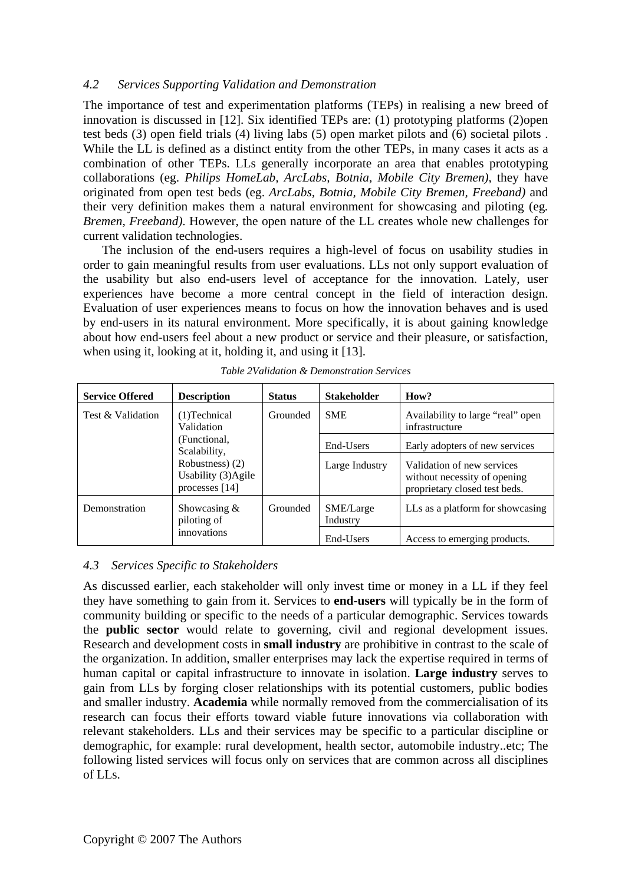#### *4.2 Services Supporting Validation and Demonstration*

The importance of test and experimentation platforms (TEPs) in realising a new breed of innovation is discussed in [12]. Six identified TEPs are: (1) prototyping platforms (2)open test beds (3) open field trials (4) living labs (5) open market pilots and (6) societal pilots . While the LL is defined as a distinct entity from the other TEPs, in many cases it acts as a combination of other TEPs. LLs generally incorporate an area that enables prototyping collaborations (eg. *Philips HomeLab, ArcLabs, Botnia, Mobile City Bremen)*, they have originated from open test beds (eg. *ArcLabs, Botnia, Mobile City Bremen, Freeband)* and their very definition makes them a natural environment for showcasing and piloting (eg*. Bremen, Freeband)*. However, the open nature of the LL creates whole new challenges for current validation technologies.

The inclusion of the end-users requires a high-level of focus on usability studies in order to gain meaningful results from user evaluations. LLs not only support evaluation of the usability but also end-users level of acceptance for the innovation. Lately, user experiences have become a more central concept in the field of interaction design. Evaluation of user experiences means to focus on how the innovation behaves and is used by end-users in its natural environment. More specifically, it is about gaining knowledge about how end-users feel about a new product or service and their pleasure, or satisfaction, when using it, looking at it, holding it, and using it [13].

| <b>Service Offered</b>                                                                                                    | <b>Description</b>                           | <b>Status</b> | <b>Stakeholder</b>    | How?                                                                                        |
|---------------------------------------------------------------------------------------------------------------------------|----------------------------------------------|---------------|-----------------------|---------------------------------------------------------------------------------------------|
| Test & Validation<br>$(1)$ Technical<br>Validation<br>(Functional,<br>Scalability,<br>Robustness) (2)<br>processes $[14]$ |                                              | Grounded      | <b>SME</b>            | Availability to large "real" open<br>infrastructure                                         |
|                                                                                                                           |                                              |               | End-Users             | Early adopters of new services                                                              |
|                                                                                                                           | Usability (3)Agile                           |               | Large Industry        | Validation of new services<br>without necessity of opening<br>proprietary closed test beds. |
| Demonstration                                                                                                             | Showcasing $&$<br>piloting of<br>innovations | Grounded      | SME/Large<br>Industry | LLs as a platform for showcasing                                                            |
|                                                                                                                           |                                              |               | End-Users             | Access to emerging products.                                                                |

|  | Table 2Validation & Demonstration Services |  |
|--|--------------------------------------------|--|
|  |                                            |  |

### *4.3 Services Specific to Stakeholders*

As discussed earlier, each stakeholder will only invest time or money in a LL if they feel they have something to gain from it. Services to **end-users** will typically be in the form of community building or specific to the needs of a particular demographic. Services towards the **public sector** would relate to governing, civil and regional development issues. Research and development costs in **small industry** are prohibitive in contrast to the scale of the organization. In addition, smaller enterprises may lack the expertise required in terms of human capital or capital infrastructure to innovate in isolation. **Large industry** serves to gain from LLs by forging closer relationships with its potential customers, public bodies and smaller industry. **Academia** while normally removed from the commercialisation of its research can focus their efforts toward viable future innovations via collaboration with relevant stakeholders. LLs and their services may be specific to a particular discipline or demographic, for example: rural development, health sector, automobile industry..etc; The following listed services will focus only on services that are common across all disciplines of LLs.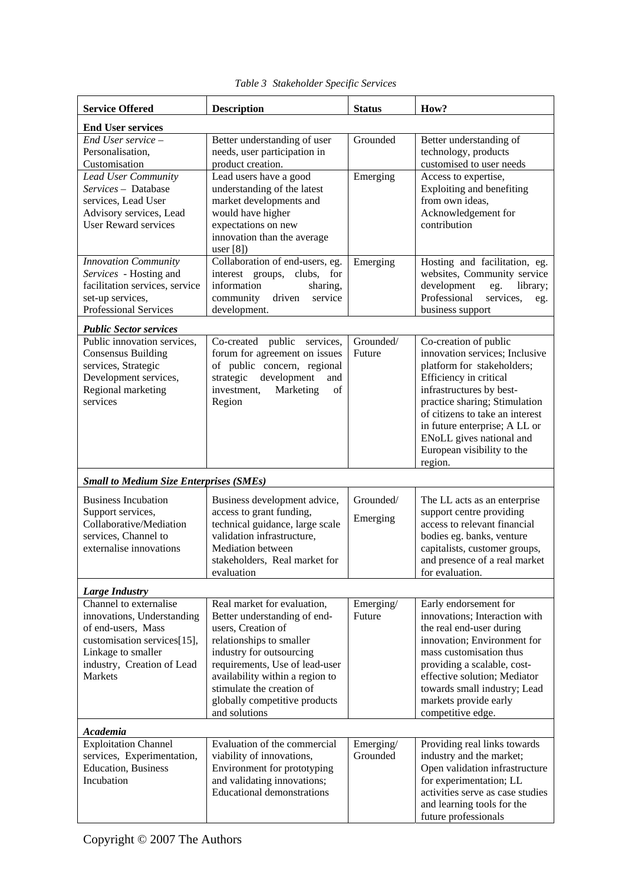| <b>Service Offered</b>                                                                                                                                                          | <b>Description</b>                                                                                                                                                                                                                                                                            | <b>Status</b>         | How?                                                                                                                                                                                                                                                                                                                  |  |
|---------------------------------------------------------------------------------------------------------------------------------------------------------------------------------|-----------------------------------------------------------------------------------------------------------------------------------------------------------------------------------------------------------------------------------------------------------------------------------------------|-----------------------|-----------------------------------------------------------------------------------------------------------------------------------------------------------------------------------------------------------------------------------------------------------------------------------------------------------------------|--|
| <b>End User services</b>                                                                                                                                                        |                                                                                                                                                                                                                                                                                               |                       |                                                                                                                                                                                                                                                                                                                       |  |
| End User service -<br>Personalisation,<br>Customisation                                                                                                                         | Better understanding of user<br>needs, user participation in<br>product creation.                                                                                                                                                                                                             | Grounded              | Better understanding of<br>technology, products<br>customised to user needs                                                                                                                                                                                                                                           |  |
| <b>Lead User Community</b><br>Services - Database<br>services, Lead User<br>Advisory services, Lead<br><b>User Reward services</b>                                              | Lead users have a good<br>understanding of the latest<br>market developments and<br>would have higher<br>expectations on new<br>innovation than the average<br>user $[8]$                                                                                                                     | Emerging              | Access to expertise,<br>Exploiting and benefiting<br>from own ideas,<br>Acknowledgement for<br>contribution                                                                                                                                                                                                           |  |
| Innovation Community<br>Services - Hosting and<br>facilitation services, service<br>set-up services,<br>Professional Services                                                   | Collaboration of end-users, eg.<br>interest groups, clubs, for<br>information<br>sharing,<br>community<br>driven<br>service<br>development.                                                                                                                                                   | Emerging              | Hosting and facilitation, eg.<br>websites, Community service<br>development<br>library;<br>eg.<br>Professional<br>services,<br>eg.<br>business support                                                                                                                                                                |  |
| <b>Public Sector services</b>                                                                                                                                                   |                                                                                                                                                                                                                                                                                               |                       |                                                                                                                                                                                                                                                                                                                       |  |
| Public innovation services,<br><b>Consensus Building</b><br>services, Strategic<br>Development services,<br>Regional marketing<br>services                                      | Co-created public services,<br>forum for agreement on issues<br>of public concern, regional<br>development<br>strategic<br>and<br>Marketing<br>investment,<br>of<br>Region                                                                                                                    | Grounded/<br>Future   | Co-creation of public<br>innovation services; Inclusive<br>platform for stakeholders;<br>Efficiency in critical<br>infrastructures by best-<br>practice sharing; Stimulation<br>of citizens to take an interest<br>in future enterprise; A LL or<br>ENoLL gives national and<br>European visibility to the<br>region. |  |
|                                                                                                                                                                                 |                                                                                                                                                                                                                                                                                               |                       |                                                                                                                                                                                                                                                                                                                       |  |
| <b>Small to Medium Size Enterprises (SMEs)</b><br><b>Business Incubation</b><br>Support services,<br>Collaborative/Mediation<br>services, Channel to<br>externalise innovations | Business development advice,<br>access to grant funding,<br>technical guidance, large scale<br>validation infrastructure,<br>Mediation between<br>stakeholders, Real market for<br>evaluation                                                                                                 | Grounded/<br>Emerging | The LL acts as an enterprise<br>support centre providing<br>access to relevant financial<br>bodies eg. banks, venture<br>capitalists, customer groups,<br>and presence of a real market<br>for evaluation.                                                                                                            |  |
| <b>Large Industry</b>                                                                                                                                                           |                                                                                                                                                                                                                                                                                               |                       |                                                                                                                                                                                                                                                                                                                       |  |
| Channel to externalise<br>innovations, Understanding<br>of end-users, Mass<br>customisation services[15],<br>Linkage to smaller<br>industry, Creation of Lead<br><b>Markets</b> | Real market for evaluation,<br>Better understanding of end-<br>users, Creation of<br>relationships to smaller<br>industry for outsourcing<br>requirements, Use of lead-user<br>availability within a region to<br>stimulate the creation of<br>globally competitive products<br>and solutions | Emerging/<br>Future   | Early endorsement for<br>innovations; Interaction with<br>the real end-user during<br>innovation; Environment for<br>mass customisation thus<br>providing a scalable, cost-<br>effective solution; Mediator<br>towards small industry; Lead<br>markets provide early<br>competitive edge.                             |  |
| Academia                                                                                                                                                                        |                                                                                                                                                                                                                                                                                               |                       |                                                                                                                                                                                                                                                                                                                       |  |
| <b>Exploitation Channel</b><br>services, Experimentation,<br><b>Education</b> , Business<br>Incubation                                                                          | Evaluation of the commercial<br>viability of innovations,<br>Environment for prototyping<br>and validating innovations;<br><b>Educational demonstrations</b>                                                                                                                                  | Emerging/<br>Grounded | Providing real links towards<br>industry and the market;<br>Open validation infrastructure<br>for experimentation; LL<br>activities serve as case studies<br>and learning tools for the<br>future professionals                                                                                                       |  |

*Table 3 Stakeholder Specific Services*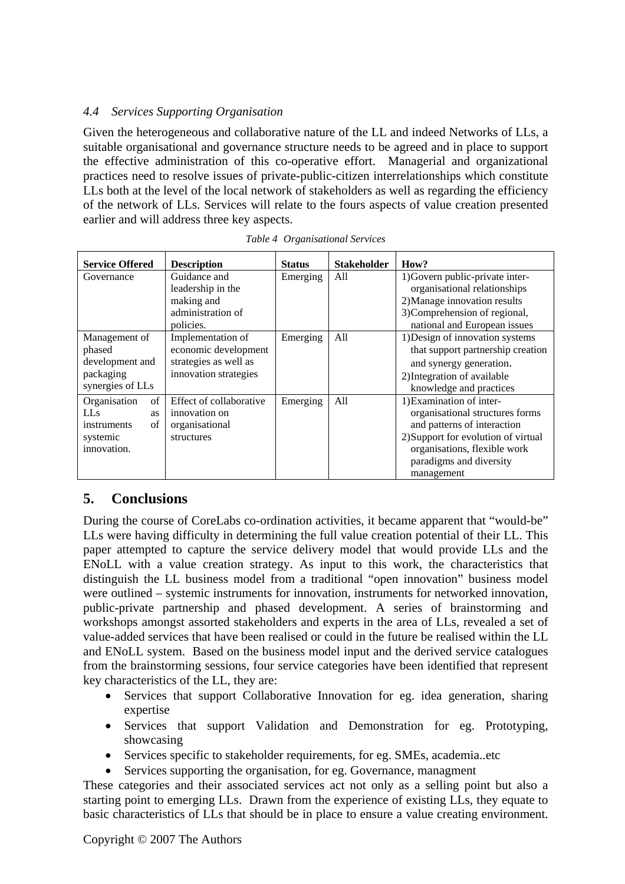## *4.4 Services Supporting Organisation*

Given the heterogeneous and collaborative nature of the LL and indeed Networks of LLs, a suitable organisational and governance structure needs to be agreed and in place to support the effective administration of this co-operative effort. Managerial and organizational practices need to resolve issues of private-public-citizen interrelationships which constitute LLs both at the level of the local network of stakeholders as well as regarding the efficiency of the network of LLs. Services will relate to the fours aspects of value creation presented earlier and will address three key aspects.

| <b>Service Offered</b>  | <b>Description</b>      | <b>Status</b> | <b>Stakeholder</b> | How?                                |
|-------------------------|-------------------------|---------------|--------------------|-------------------------------------|
| Governance              | Guidance and            | Emerging      | All                | 1) Govern public-private inter-     |
|                         | leadership in the       |               |                    | organisational relationships        |
|                         | making and              |               |                    | 2) Manage innovation results        |
|                         | administration of       |               |                    | 3) Comprehension of regional,       |
|                         | policies.               |               |                    | national and European issues        |
| Management of           | Implementation of       | Emerging      | All                | 1) Design of innovation systems     |
| phased                  | economic development    |               |                    | that support partnership creation   |
| development and         | strategies as well as   |               |                    | and synergy generation.             |
| packaging               | innovation strategies   |               |                    | 2) Integration of available         |
| synergies of LLs        |                         |               |                    | knowledge and practices             |
| Organisation<br>of      | Effect of collaborative | Emerging      | All                | 1) Examination of inter-            |
| <b>LLs</b><br><b>as</b> | innovation on           |               |                    | organisational structures forms     |
| of<br>instruments       | organisational          |               |                    | and patterns of interaction         |
| systemic                | structures              |               |                    | 2) Support for evolution of virtual |
| innovation.             |                         |               |                    | organisations, flexible work        |
|                         |                         |               |                    | paradigms and diversity             |
|                         |                         |               |                    | management                          |

# **5. Conclusions**

During the course of CoreLabs co-ordination activities, it became apparent that "would-be" LLs were having difficulty in determining the full value creation potential of their LL. This paper attempted to capture the service delivery model that would provide LLs and the ENoLL with a value creation strategy. As input to this work, the characteristics that distinguish the LL business model from a traditional "open innovation" business model were outlined – systemic instruments for innovation, instruments for networked innovation, public-private partnership and phased development. A series of brainstorming and workshops amongst assorted stakeholders and experts in the area of LLs, revealed a set of value-added services that have been realised or could in the future be realised within the LL and ENoLL system. Based on the business model input and the derived service catalogues from the brainstorming sessions, four service categories have been identified that represent key characteristics of the LL, they are:

- Services that support Collaborative Innovation for eg. idea generation, sharing expertise
- Services that support Validation and Demonstration for eg. Prototyping, showcasing
- Services specific to stakeholder requirements, for eg. SMEs, academia..etc
- Services supporting the organisation, for eg. Governance, managment

These categories and their associated services act not only as a selling point but also a starting point to emerging LLs. Drawn from the experience of existing LLs, they equate to basic characteristics of LLs that should be in place to ensure a value creating environment.